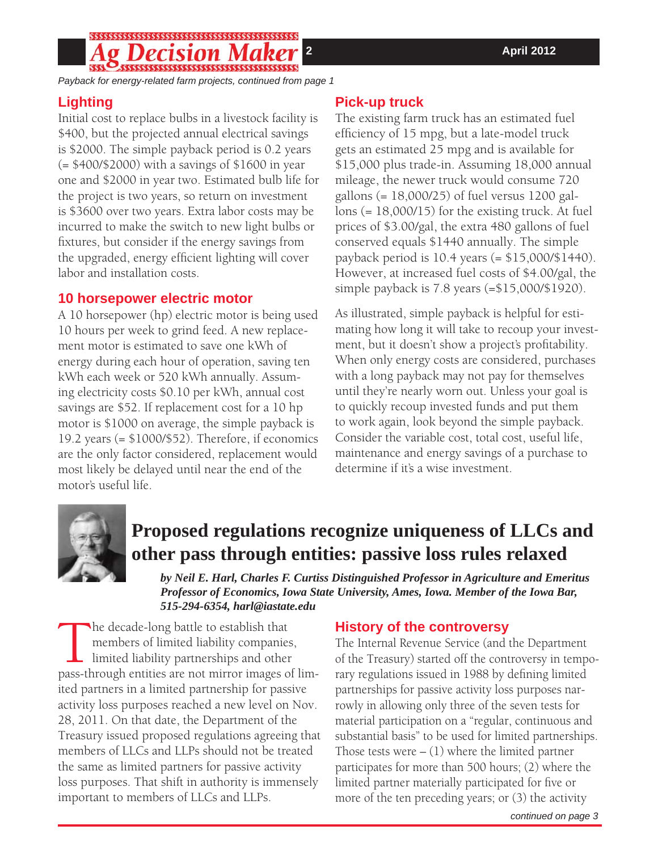## 

*Payback for energy-related farm projects, continued from page 1*

### **Lighting**

Initial cost to replace bulbs in a livestock facility is \$400, but the projected annual electrical savings is \$2000. The simple payback period is 0.2 years (= \$400/\$2000) with a savings of \$1600 in year one and \$2000 in year two. Estimated bulb life for the project is two years, so return on investment is \$3600 over two years. Extra labor costs may be incurred to make the switch to new light bulbs or fixtures, but consider if the energy savings from the upgraded, energy efficient lighting will cover labor and installation costs.

#### **10 horsepower electric motor**

A 10 horsepower (hp) electric motor is being used 10 hours per week to grind feed. A new replacement motor is estimated to save one kWh of energy during each hour of operation, saving ten kWh each week or 520 kWh annually. Assuming electricity costs \$0.10 per kWh, annual cost savings are \$52. If replacement cost for a 10 hp motor is \$1000 on average, the simple payback is 19.2 years (= \$1000/\$52). Therefore, if economics are the only factor considered, replacement would most likely be delayed until near the end of the motor's useful life.

### **Pick-up truck**

The existing farm truck has an estimated fuel efficiency of 15 mpg, but a late-model truck gets an estimated 25 mpg and is available for \$15,000 plus trade-in. Assuming 18,000 annual mileage, the newer truck would consume 720 gallons (= 18,000/25) of fuel versus 1200 gallons (= 18,000/15) for the existing truck. At fuel prices of \$3.00/gal, the extra 480 gallons of fuel conserved equals \$1440 annually. The simple payback period is 10.4 years (= \$15,000/\$1440). However, at increased fuel costs of \$4.00/gal, the simple payback is 7.8 years (=\$15,000/\$1920).

As illustrated, simple payback is helpful for estimating how long it will take to recoup your investment, but it doesn't show a project's profitability. When only energy costs are considered, purchases with a long payback may not pay for themselves until they're nearly worn out. Unless your goal is to quickly recoup invested funds and put them to work again, look beyond the simple payback. Consider the variable cost, total cost, useful life, maintenance and energy savings of a purchase to determine if it's a wise investment.



# **Proposed regulations recognize uniqueness of LLCs and other pass through entities: passive loss rules relaxed**

*by Neil E. Harl, Charles F. Curtiss Distinguished Professor in Agriculture and Emeritus Professor of Economics, Iowa State University, Ames, Iowa. Member of the Iowa Bar, 515-294-6354, harl@iastate.edu*

The decade-long battle to establish that members of limited liability companies, limited liability partnerships and other pass-through entities are not mirror images of limmembers of limited liability companies, limited liability partnerships and other ited partners in a limited partnership for passive activity loss purposes reached a new level on Nov. 28, 2011. On that date, the Department of the Treasury issued proposed regulations agreeing that members of LLCs and LLPs should not be treated the same as limited partners for passive activity loss purposes. That shift in authority is immensely important to members of LLCs and LLPs.

### **History of the controversy**

The Internal Revenue Service (and the Department of the Treasury) started off the controversy in temporary regulations issued in 1988 by defining limited partnerships for passive activity loss purposes narrowly in allowing only three of the seven tests for material participation on a "regular, continuous and substantial basis" to be used for limited partnerships. Those tests were  $- (1)$  where the limited partner participates for more than 500 hours; (2) where the limited partner materially participated for five or more of the ten preceding years; or (3) the activity